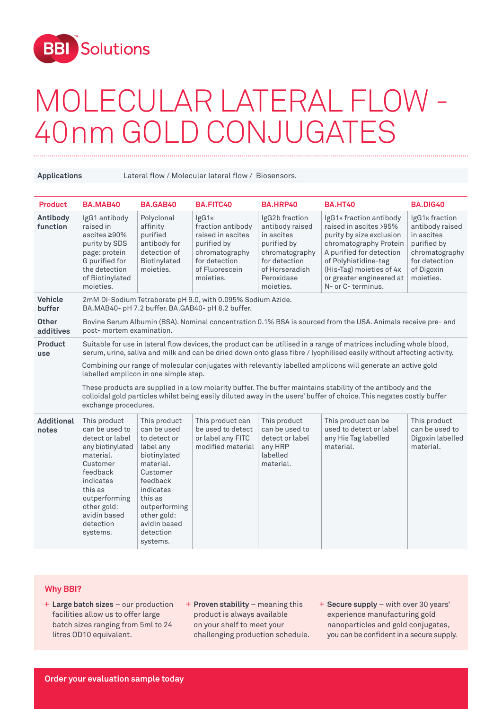

## MOLECULAR LATERAL FLOW - 40nm GOLD CONJUGATES

••••••••••••••••••••••••••••••••••••••••••••••••••••••••••••••••••••••••••••••••••••••••••••••••••••••••••••••••••••••••••••••• ••••••••••••••••••••••••••••••••••••••••••••••••••••••••••••••••••••••••••••••••••••••••••

**Applications** Lateral flow / Molecular lateral flow / Biosensors.

| <b>Product</b>             | BA.MAB40                                                                                                                                                                                                                                                                                                                                                                                                                                                                                                                                                                                                                                                             | BA.GAB40                                                                                                                                                                                                       | <b>BA.FITC40</b>                                                                                                                             | BA.HRP40                                                                                                                                       | <b>BA.HT40</b>                                                                                                                                                                                                                            | <b>BA.DIG40</b>                                                                                                                          |  |
|----------------------------|----------------------------------------------------------------------------------------------------------------------------------------------------------------------------------------------------------------------------------------------------------------------------------------------------------------------------------------------------------------------------------------------------------------------------------------------------------------------------------------------------------------------------------------------------------------------------------------------------------------------------------------------------------------------|----------------------------------------------------------------------------------------------------------------------------------------------------------------------------------------------------------------|----------------------------------------------------------------------------------------------------------------------------------------------|------------------------------------------------------------------------------------------------------------------------------------------------|-------------------------------------------------------------------------------------------------------------------------------------------------------------------------------------------------------------------------------------------|------------------------------------------------------------------------------------------------------------------------------------------|--|
| Antibody<br>function       | IgG1 antibody<br>raised in<br>ascites ≥90%<br>purity by SDS<br>page: protein<br>G purified for<br>the detection<br>of Biotinylated<br>moieties.                                                                                                                                                                                                                                                                                                                                                                                                                                                                                                                      | Polyclonal<br>affinity<br>purified<br>antibody for<br>detection of<br>Biotinylated<br>moieties.                                                                                                                | IgG1 <sub>K</sub><br>fraction antibody<br>raised in ascites<br>purified by<br>chromatography<br>for detection<br>of Fluorescein<br>moieties. | IgG2b fraction<br>antibody raised<br>in ascites<br>purified by<br>chromatography<br>for detection<br>of Horseradish<br>Peroxidase<br>moieties. | IgG1K fraction antibody<br>raised in ascites >95%<br>purity by size exclusion<br>chromatography Protein<br>A purified for detection<br>of Polyhistidine-tag<br>(His-Tag) moieties of 4x<br>or greater engineered at<br>N- or C- terminus. | IgG1 <sub>K</sub> fraction<br>antibody raised<br>in ascites<br>purified by<br>chromatography<br>for detection<br>of Digoxin<br>moieties. |  |
| <b>Vehicle</b><br>buffer   | 2mM Di-Sodium Tetraborate pH 9.0, with 0.095% Sodium Azide.<br>BA.MAB40- pH 7.2 buffer. BA.GAB40- pH 8.2 buffer.                                                                                                                                                                                                                                                                                                                                                                                                                                                                                                                                                     |                                                                                                                                                                                                                |                                                                                                                                              |                                                                                                                                                |                                                                                                                                                                                                                                           |                                                                                                                                          |  |
| <b>Other</b><br>additives  | Bovine Serum Albumin (BSA). Nominal concentration 0.1% BSA is sourced from the USA. Animals receive pre- and<br>post- mortem examination.                                                                                                                                                                                                                                                                                                                                                                                                                                                                                                                            |                                                                                                                                                                                                                |                                                                                                                                              |                                                                                                                                                |                                                                                                                                                                                                                                           |                                                                                                                                          |  |
| Product<br>use             | Suitable for use in lateral flow devices, the product can be utilised in a range of matrices including whole blood,<br>serum, urine, saliva and milk and can be dried down onto glass fibre / lyophilised easily without affecting activity.<br>Combining our range of molecular conjugates with relevantly labelled amplicons will generate an active gold<br>labelled amplicon in one simple step.<br>These products are supplied in a low molarity buffer. The buffer maintains stability of the antibody and the<br>colloidal gold particles whilst being easily diluted away in the users' buffer of choice. This negates costly buffer<br>exchange procedures. |                                                                                                                                                                                                                |                                                                                                                                              |                                                                                                                                                |                                                                                                                                                                                                                                           |                                                                                                                                          |  |
| <b>Additional</b><br>notes | This product<br>can be used to<br>detect or label<br>any biotinylated<br>material.<br>Customer<br>feedback<br>indicates<br>this as<br>outperforming<br>other gold:<br>avidin based<br>detection<br>systems.                                                                                                                                                                                                                                                                                                                                                                                                                                                          | This product<br>can be used<br>to detect or<br>label any<br>biotinylated<br>material.<br>Customer<br>feedback<br>indicates<br>this as<br>outperforming<br>other gold:<br>avidin based<br>detection<br>systems. | This product can<br>be used to detect<br>or label any FITC<br>modified material                                                              | This product<br>can be used to<br>detect or label<br>any HRP<br>labelled<br>material.                                                          | This product can be<br>used to detect or label<br>any His Tag labelled<br>material.                                                                                                                                                       | This product<br>can be used to<br>Digoxin labelled<br>material.                                                                          |  |

## **Why BBI?**

- + Large batch sizes our production + Proven stability meaning this facilities allow us to offer large batch sizes ranging from 5ml to 24 litres OD10 equivalent.
- product is always available on your shelf to meet your challenging production schedule.
- + **Secure supply** with over 30 years' experience manufacturing gold nanoparticles and gold conjugates, you can be confident in a secure supply.